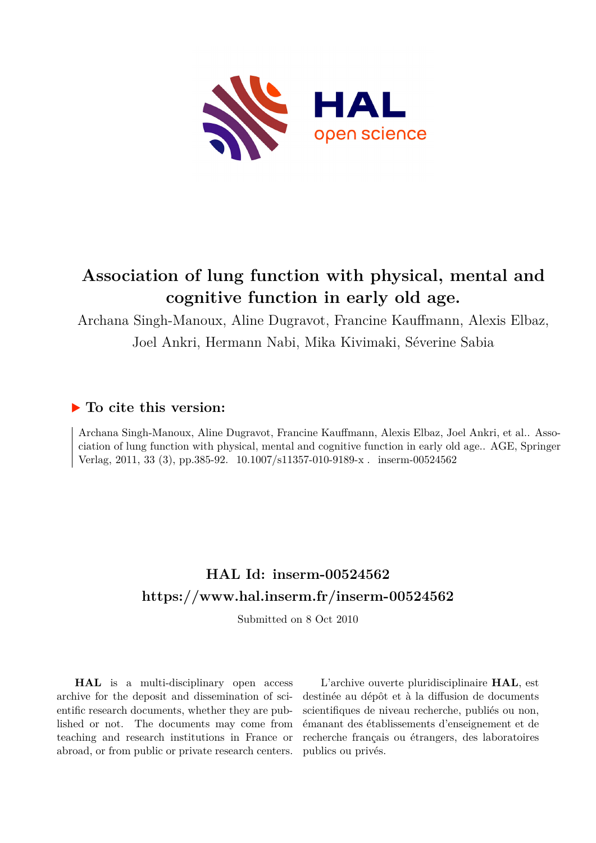

# **Association of lung function with physical, mental and cognitive function in early old age.**

Archana Singh-Manoux, Aline Dugravot, Francine Kauffmann, Alexis Elbaz, Joel Ankri, Hermann Nabi, Mika Kivimaki, Séverine Sabia

# **To cite this version:**

Archana Singh-Manoux, Aline Dugravot, Francine Kauffmann, Alexis Elbaz, Joel Ankri, et al.. Association of lung function with physical, mental and cognitive function in early old age.. AGE, Springer Verlag, 2011, 33 (3), pp.385-92. 10.1007/s11357-010-9189-x. inserm-00524562

# **HAL Id: inserm-00524562 <https://www.hal.inserm.fr/inserm-00524562>**

Submitted on 8 Oct 2010

**HAL** is a multi-disciplinary open access archive for the deposit and dissemination of scientific research documents, whether they are published or not. The documents may come from teaching and research institutions in France or abroad, or from public or private research centers.

L'archive ouverte pluridisciplinaire **HAL**, est destinée au dépôt et à la diffusion de documents scientifiques de niveau recherche, publiés ou non, émanant des établissements d'enseignement et de recherche français ou étrangers, des laboratoires publics ou privés.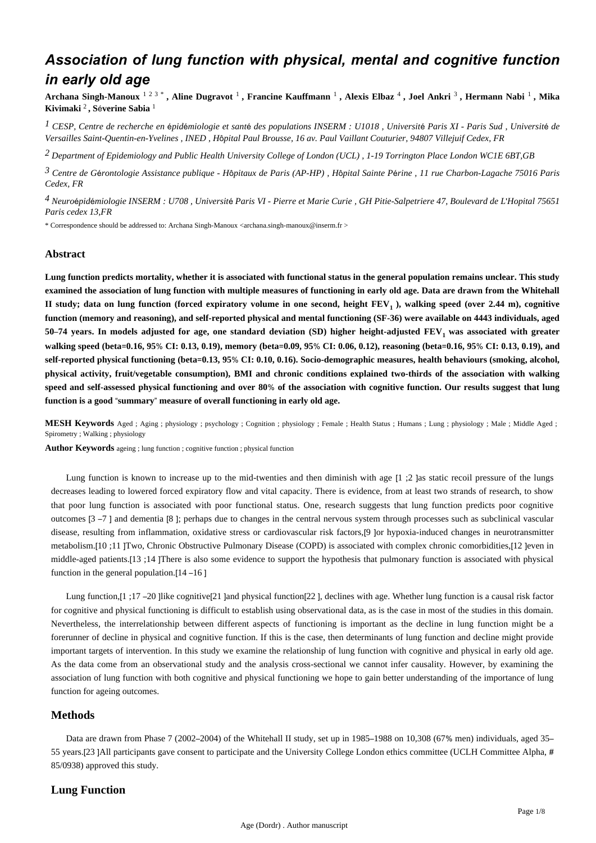# *Association of lung function with physical, mental and cognitive function in early old age*

**Archana Singh-Manoux** 1 2 3 \* **, Aline Dugravot** <sup>1</sup> **, Francine Kauffmann** <sup>1</sup> **, Alexis Elbaz** <sup>4</sup> **, Joel Ankri** <sup>3</sup> **, Hermann Nabi** <sup>1</sup> **, Mika Kivimaki** <sup>2</sup> **, S**é**verine Sabia** <sup>1</sup>

<sup>1</sup> CESP, Centre de recherche en épidémiologie et santé des populations INSERM : U1018 , Université Paris XI - Paris Sud , Université de *Versailles Saint-Quentin-en-Yvelines , INED , H*ô*pital Paul Brousse, 16 av. Paul Vaillant Couturier, 94807 Villejuif Cedex, FR*

*Department of Epidemiology and Public Health 2 University College of London (UCL) , 1-19 Torrington Place London WC1E 6BT,GB*

*Centre de G rontologie 3* <sup>é</sup> *Assistance publique - H*ô*pitaux de Paris (AP-HP) , H*ô*pital Sainte P*é*rine , 11 rue Charbon-Lagache 75016 Paris Cedex, FR*

*Neuro pid miologie 4* <sup>é</sup> <sup>é</sup> *INSERM : U708 , Universit*é *Paris VI - Pierre et Marie Curie , GH Pitie-Salpetriere 47, Boulevard de L*'*Hopital 75651 Paris cedex 13,FR*

\* Correspondence should be addressed to: Archana Singh-Manoux <archana.singh-manoux@inserm.fr >

#### **Abstract**

**Lung function predicts mortality, whether it is associated with functional status in the general population remains unclear. This study examined the association of lung function with multiple measures of functioning in early old age. Data are drawn from the Whitehall II study; data on lung function (forced expiratory volume in one second, height FEV ), walking speed (over 2.44 m), cognitive <sup>1</sup> function (memory and reasoning), and self-reported physical and mental functioning (SF-36) were available on 4443 individuals, aged 50**–**74 years. In models adjusted for age, one standard deviation (SD) higher height-adjusted FEV was associated with greater <sup>1</sup> walking speed (beta**=**0.16, 95**% **CI: 0.13, 0.19), memory (beta**=**0.09, 95**% **CI: 0.06, 0.12), reasoning (beta**=**0.16, 95**% **CI: 0.13, 0.19), and self-reported physical functioning (beta**=**0.13, 95**% **CI: 0.10, 0.16). Socio-demographic measures, health behaviours (smoking, alcohol, physical activity, fruit/vegetable consumption), BMI and chronic conditions explained two-thirds of the association with walking speed and self-assessed physical functioning and over 80**% **of the association with cognitive function. Our results suggest that lung function is a good** "**summary**" **measure of overall functioning in early old age.**

**MESH Keywords** Aged ; Aging ; physiology ; psychology ; Cognition ; physiology ; Female ; Health Status ; Humans ; Lung ; physiology ; Male ; Middle Aged ; Spirometry ; Walking ; physiology

**Author Keywords** ageing ; lung function ; cognitive function ; physical function

Lung function is known to increase up to the mid-twenties and then diminish with age  $[1;2]$  as static recoil pressure of the lungs decreases leading to lowered forced expiratory flow and vital capacity. There is evidence, from at least two strands of research, to show that poor lung function is associated with poor functional status. One, research suggests that lung function predicts poor cognitive outcomes [3 –7 ] and dementia [8 ]; perhaps due to changes in the central nervous system through processes such as subclinical vascular disease, resulting from inflammation, oxidative stress or cardiovascular risk factors,[9 ]or hypoxia-induced changes in neurotransmitter metabolism.[10 ;11 ]Two, Chronic Obstructive Pulmonary Disease (COPD) is associated with complex chronic comorbidities,[12 ]even in middle-aged patients.[13 ;14 ]There is also some evidence to support the hypothesis that pulmonary function is associated with physical function in the general population.[14 –16 ]

Lung function,[1 ;17 -20 ]like cognitive[21 ]and physical function[22 ], declines with age. Whether lung function is a causal risk factor for cognitive and physical functioning is difficult to establish using observational data, as is the case in most of the studies in this domain. Nevertheless, the interrelationship between different aspects of functioning is important as the decline in lung function might be a forerunner of decline in physical and cognitive function. If this is the case, then determinants of lung function and decline might provide important targets of intervention. In this study we examine the relationship of lung function with cognitive and physical in early old age. As the data come from an observational study and the analysis cross-sectional we cannot infer causality. However, by examining the association of lung function with both cognitive and physical functioning we hope to gain better understanding of the importance of lung function for ageing outcomes.

#### **Methods**

Data are drawn from Phase 7 (2002–2004) of the Whitehall II study, set up in 1985–1988 on 10,308 (67% men) individuals, aged 35– 55 years.[23 ]All participants gave consent to participate and the University College London ethics committee (UCLH Committee Alpha, # 85/0938) approved this study.

## **Lung Function**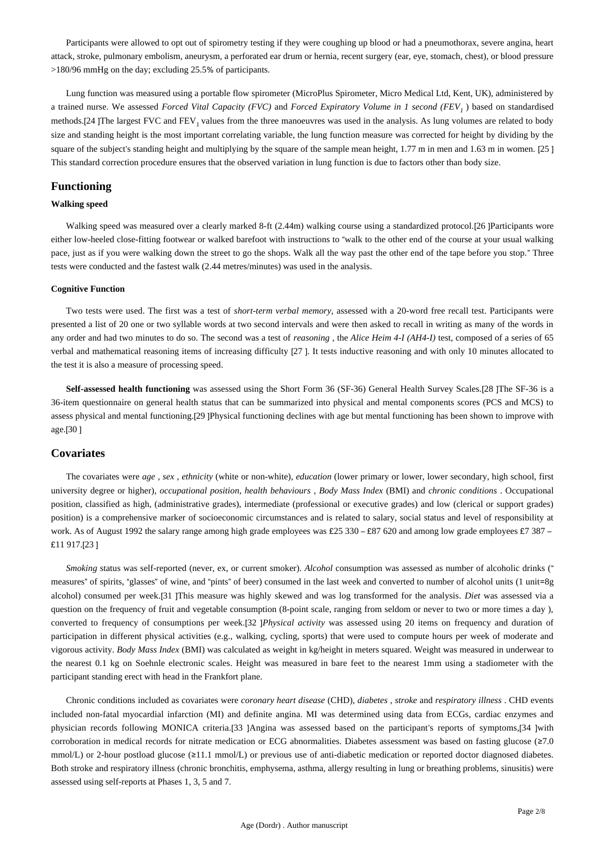Participants were allowed to opt out of spirometry testing if they were coughing up blood or had a pneumothorax, severe angina, heart attack, stroke, pulmonary embolism, aneurysm, a perforated ear drum or hernia, recent surgery (ear, eye, stomach, chest), or blood pressure >180/96 mmHg on the day; excluding 25.5% of participants.

Lung function was measured using a portable flow spirometer (MicroPlus Spirometer, Micro Medical Ltd, Kent, UK), administered by a trained nurse. We assessed *Forced Vital Capacity (FVC)* and *Forced Expiratory Volume in 1 second (FEV* ) based on standardised *<sup>1</sup>* methods.[24 ]The largest FVC and  $FEV_1$  values from the three manoeuvres was used in the analysis. As lung volumes are related to body size and standing height is the most important correlating variable, the lung function measure was corrected for height by dividing by the square of the subject's standing height and multiplying by the square of the sample mean height, 1.77 m in men and 1.63 m in women. [25 ] This standard correction procedure ensures that the observed variation in lung function is due to factors other than body size.

## **Functioning**

#### **Walking speed**

Walking speed was measured over a clearly marked 8-ft (2.44m) walking course using a standardized protocol.[26 ]Participants wore either low-heeled close-fitting footwear or walked barefoot with instructions to "walk to the other end of the course at your usual walking pace, just as if you were walking down the street to go the shops. Walk all the way past the other end of the tape before you stop." Three tests were conducted and the fastest walk (2.44 metres/minutes) was used in the analysis.

#### **Cognitive Function**

Two tests were used. The first was a test of *short-term verbal memory,* assessed with a 20-word free recall test. Participants were presented a list of 20 one or two syllable words at two second intervals and were then asked to recall in writing as many of the words in any order and had two minutes to do so. The second was a test of *reasoning* , the *Alice Heim 4-I (AH4-I)* test, composed of a series of 65 verbal and mathematical reasoning items of increasing difficulty [27 ]. It tests inductive reasoning and with only 10 minutes allocated to the test it is also a measure of processing speed.

**Self-assessed health functioning** was assessed using the Short Form 36 (SF-36) General Health Survey Scales.[28 ]The SF-36 is a 36-item questionnaire on general health status that can be summarized into physical and mental components scores (PCS and MCS) to assess physical and mental functioning.[29 ]Physical functioning declines with age but mental functioning has been shown to improve with age.[30 ]

# **Covariates**

The covariates were *age* , *sex* , *ethnicity* (white or non-white), *education* (lower primary or lower, lower secondary, high school, first university degree or higher), *occupational position, health behaviours* , *Body Mass Index* (BMI) and *chronic conditions* . Occupational position, classified as high, (administrative grades), intermediate (professional or executive grades) and low (clerical or support grades) position) is a comprehensive marker of socioeconomic circumstances and is related to salary, social status and level of responsibility at work. As of August 1992 the salary range among high grade employees was £25 330 – £87 620 and among low grade employees £7 387 – £11 917.[23 ]

*Smoking* status was self-reported (never, ex, or current smoker). *Alcohol* consumption was assessed as number of alcoholic drinks (" measures" of spirits, "glasses" of wine, and "pints" of beer) consumed in the last week and converted to number of alcohol units (1 unit=8g alcohol) consumed per week.[31 ]This measure was highly skewed and was log transformed for the analysis. *Diet* was assessed via a question on the frequency of fruit and vegetable consumption (8-point scale, ranging from seldom or never to two or more times a day ), converted to frequency of consumptions per week.[32 ]*Physical activity* was assessed using 20 items on frequency and duration of participation in different physical activities (e.g., walking, cycling, sports) that were used to compute hours per week of moderate and vigorous activity. *Body Mass Index* (BMI) was calculated as weight in kg/height in meters squared. Weight was measured in underwear to the nearest 0.1 kg on Soehnle electronic scales. Height was measured in bare feet to the nearest 1mm using a stadiometer with the participant standing erect with head in the Frankfort plane.

Chronic conditions included as covariates were *coronary heart disease* (CHD), *diabetes* , *stroke* and *respiratory illness* . CHD events included non-fatal myocardial infarction (MI) and definite angina. MI was determined using data from ECGs, cardiac enzymes and physician records following MONICA criteria.[33 ]Angina was assessed based on the participant's reports of symptoms,[34 ]with corroboration in medical records for nitrate medication or ECG abnormalities. Diabetes assessment was based on fasting glucose (≥7.0 mmol/L) or 2-hour postload glucose (≥11.1 mmol/L) or previous use of anti-diabetic medication or reported doctor diagnosed diabetes. Both stroke and respiratory illness (chronic bronchitis, emphysema, asthma, allergy resulting in lung or breathing problems, sinusitis) were assessed using self-reports at Phases 1, 3, 5 and 7.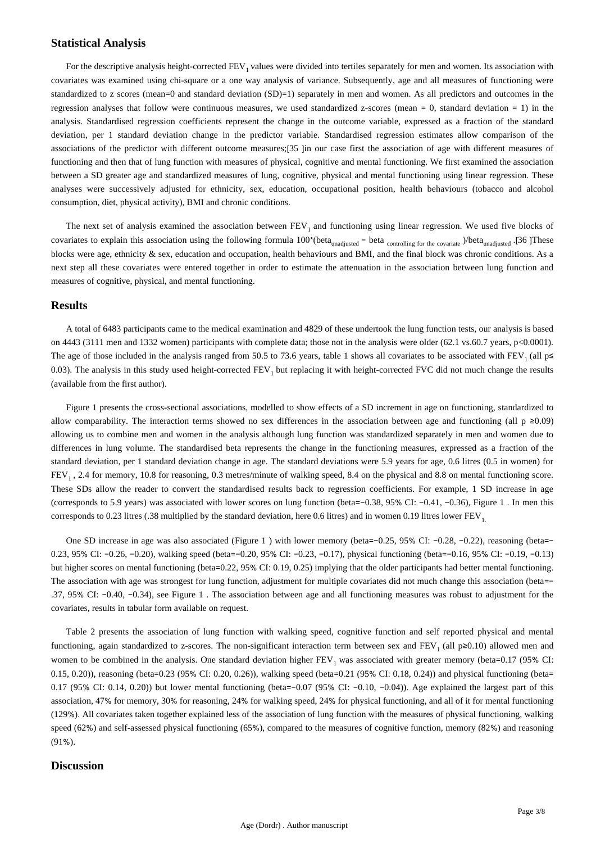#### **Statistical Analysis**

For the descriptive analysis height-corrected FEV, values were divided into tertiles separately for men and women. Its association with covariates was examined using chi-square or a one way analysis of variance. Subsequently, age and all measures of functioning were standardized to z scores (mean=0 and standard deviation (SD)=1) separately in men and women. As all predictors and outcomes in the regression analyses that follow were continuous measures, we used standardized z-scores (mean = 0, standard deviation = 1) in the analysis. Standardised regression coefficients represent the change in the outcome variable, expressed as a fraction of the standard deviation, per 1 standard deviation change in the predictor variable. Standardised regression estimates allow comparison of the associations of the predictor with different outcome measures;[35 ]in our case first the association of age with different measures of functioning and then that of lung function with measures of physical, cognitive and mental functioning. We first examined the association between a SD greater age and standardized measures of lung, cognitive, physical and mental functioning using linear regression. These analyses were successively adjusted for ethnicity, sex, education, occupational position, health behaviours (tobacco and alcohol consumption, diet, physical activity), BMI and chronic conditions.

The next set of analysis examined the association between  $FEV<sub>1</sub>$  and functioning using linear regression. We used five blocks of covariates to explain this association using the following formula 100\*(beta<sub>unadjusted</sub> - beta <sub>controlling for the covariate</sub> )/beta<sub>unadjusted</sub> .[36 ]These blocks were age, ethnicity & sex, education and occupation, health behaviours and BMI, and the final block was chronic conditions. As a next step all these covariates were entered together in order to estimate the attenuation in the association between lung function and measures of cognitive, physical, and mental functioning.

#### **Results**

A total of 6483 participants came to the medical examination and 4829 of these undertook the lung function tests, our analysis is based on 4443 (3111 men and 1332 women) participants with complete data; those not in the analysis were older (62.1 vs.60.7 years, p<0.0001). The age of those included in the analysis ranged from 50.5 to 73.6 years, table 1 shows all covariates to be associated with FEV<sub>1</sub> (all  $p \le$ 0.03). The analysis in this study used height-corrected  $FEV<sub>1</sub>$  but replacing it with height-corrected FVC did not much change the results (available from the first author).

Figure 1 presents the cross-sectional associations, modelled to show effects of a SD increment in age on functioning, standardized to allow comparability. The interaction terms showed no sex differences in the association between age and functioning (all  $p \ge 0.09$ ) allowing us to combine men and women in the analysis although lung function was standardized separately in men and women due to differences in lung volume. The standardised beta represents the change in the functioning measures, expressed as a fraction of the standard deviation, per 1 standard deviation change in age. The standard deviations were 5.9 years for age, 0.6 litres (0.5 in women) for FEV<sub>1</sub>, 2.4 for memory, 10.8 for reasoning, 0.3 metres/minute of walking speed, 8.4 on the physical and 8.8 on mental functioning score. These SDs allow the reader to convert the standardised results back to regression coefficients. For example, 1 SD increase in age (corresponds to 5.9 years) was associated with lower scores on lung function (beta=−0.38, 95% CI: −0.41, −0.36), Figure 1 . In men this corresponds to 0.23 litres (.38 multiplied by the standard deviation, here 0.6 litres) and in women 0.19 litres lower  $FEV<sub>1</sub>$ .

One SD increase in age was also associated (Figure 1 ) with lower memory (beta=−0.25, 95% CI: −0.28, −0.22), reasoning (beta=− 0.23, 95% CI: −0.26, −0.20), walking speed (beta=−0.20, 95% CI: −0.23, −0.17), physical functioning (beta=−0.16, 95% CI: −0.19, −0.13) but higher scores on mental functioning (beta=0.22, 95% CI: 0.19, 0.25) implying that the older participants had better mental functioning. The association with age was strongest for lung function, adjustment for multiple covariates did not much change this association (beta=− .37, 95% CI: −0.40, −0.34), see Figure 1 . The association between age and all functioning measures was robust to adjustment for the covariates, results in tabular form available on request.

Table 2 presents the association of lung function with walking speed, cognitive function and self reported physical and mental functioning, again standardized to z-scores. The non-significant interaction term between sex and FEV, (all  $p \ge 0.10$ ) allowed men and women to be combined in the analysis. One standard deviation higher  $FEV<sub>1</sub>$  was associated with greater memory (beta=0.17 (95% CI: 0.15, 0.20)), reasoning (beta=0.23 (95% CI: 0.20, 0.26)), walking speed (beta=0.21 (95% CI: 0.18, 0.24)) and physical functioning (beta= 0.17 (95% CI: 0.14, 0.20)) but lower mental functioning (beta=−0.07 (95% CI: −0.10, −0.04)). Age explained the largest part of this association, 47% for memory, 30% for reasoning, 24% for walking speed, 24% for physical functioning, and all of it for mental functioning (129%). All covariates taken together explained less of the association of lung function with the measures of physical functioning, walking speed (62%) and self-assessed physical functioning (65%), compared to the measures of cognitive function, memory (82%) and reasoning (91%).

## **Discussion**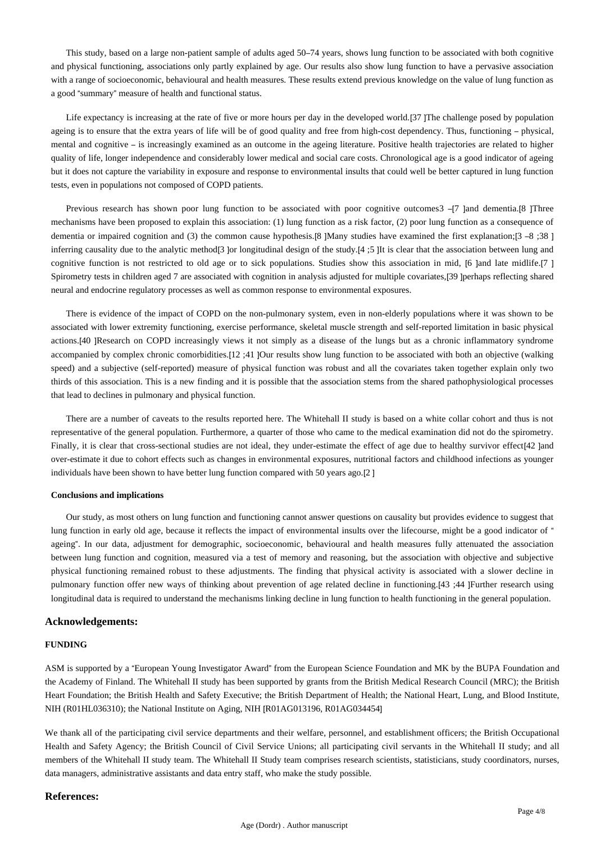This study, based on a large non-patient sample of adults aged 50–74 years, shows lung function to be associated with both cognitive and physical functioning, associations only partly explained by age. Our results also show lung function to have a pervasive association with a range of socioeconomic, behavioural and health measures. These results extend previous knowledge on the value of lung function as a good "summary" measure of health and functional status.

Life expectancy is increasing at the rate of five or more hours per day in the developed world.[37] The challenge posed by population ageing is to ensure that the extra years of life will be of good quality and free from high-cost dependency. Thus, functioning – physical, mental and cognitive – is increasingly examined as an outcome in the ageing literature. Positive health trajectories are related to higher quality of life, longer independence and considerably lower medical and social care costs. Chronological age is a good indicator of ageing but it does not capture the variability in exposure and response to environmental insults that could well be better captured in lung function tests, even in populations not composed of COPD patients.

Previous research has shown poor lung function to be associated with poor cognitive outcomes3 –[7 ]and dementia.[8 ]Three mechanisms have been proposed to explain this association: (1) lung function as a risk factor, (2) poor lung function as a consequence of dementia or impaired cognition and (3) the common cause hypothesis.[8] Many studies have examined the first explanation;[3 –8 ;38] inferring causality due to the analytic method<sup>[3</sup> ]or longitudinal design of the study.<sup>[4</sup> :5] It is clear that the association between lung and cognitive function is not restricted to old age or to sick populations. Studies show this association in mid, [6 ]and late midlife.[7 ] Spirometry tests in children aged 7 are associated with cognition in analysis adjusted for multiple covariates,[39 ]perhaps reflecting shared neural and endocrine regulatory processes as well as common response to environmental exposures.

There is evidence of the impact of COPD on the non-pulmonary system, even in non-elderly populations where it was shown to be associated with lower extremity functioning, exercise performance, skeletal muscle strength and self-reported limitation in basic physical actions.[40 ]Research on COPD increasingly views it not simply as a disease of the lungs but as a chronic inflammatory syndrome accompanied by complex chronic comorbidities.[12 ;41 ]Our results show lung function to be associated with both an objective (walking speed) and a subjective (self-reported) measure of physical function was robust and all the covariates taken together explain only two thirds of this association. This is a new finding and it is possible that the association stems from the shared pathophysiological processes that lead to declines in pulmonary and physical function.

There are a number of caveats to the results reported here. The Whitehall II study is based on a white collar cohort and thus is not representative of the general population. Furthermore, a quarter of those who came to the medical examination did not do the spirometry. Finally, it is clear that cross-sectional studies are not ideal, they under-estimate the effect of age due to healthy survivor effect[42 ]and over-estimate it due to cohort effects such as changes in environmental exposures, nutritional factors and childhood infections as younger individuals have been shown to have better lung function compared with 50 years ago.[2 ]

#### **Conclusions and implications**

Our study, as most others on lung function and functioning cannot answer questions on causality but provides evidence to suggest that lung function in early old age, because it reflects the impact of environmental insults over the lifecourse, might be a good indicator of " ageing". In our data, adjustment for demographic, socioeconomic, behavioural and health measures fully attenuated the association between lung function and cognition, measured via a test of memory and reasoning, but the association with objective and subjective physical functioning remained robust to these adjustments. The finding that physical activity is associated with a slower decline in pulmonary function offer new ways of thinking about prevention of age related decline in functioning.[43 ;44 ]Further research using longitudinal data is required to understand the mechanisms linking decline in lung function to health functioning in the general population.

#### **Acknowledgements:**

#### **FUNDING**

ASM is supported by a "European Young Investigator Award" from the European Science Foundation and MK by the BUPA Foundation and the Academy of Finland. The Whitehall II study has been supported by grants from the British Medical Research Council (MRC); the British Heart Foundation; the British Health and Safety Executive; the British Department of Health; the National Heart, Lung, and Blood Institute, NIH (R01HL036310); the National Institute on Aging, NIH [R01AG013196, R01AG034454]

We thank all of the participating civil service departments and their welfare, personnel, and establishment officers; the British Occupational Health and Safety Agency; the British Council of Civil Service Unions; all participating civil servants in the Whitehall II study; and all members of the Whitehall II study team. The Whitehall II Study team comprises research scientists, statisticians, study coordinators, nurses, data managers, administrative assistants and data entry staff, who make the study possible.

#### **References:**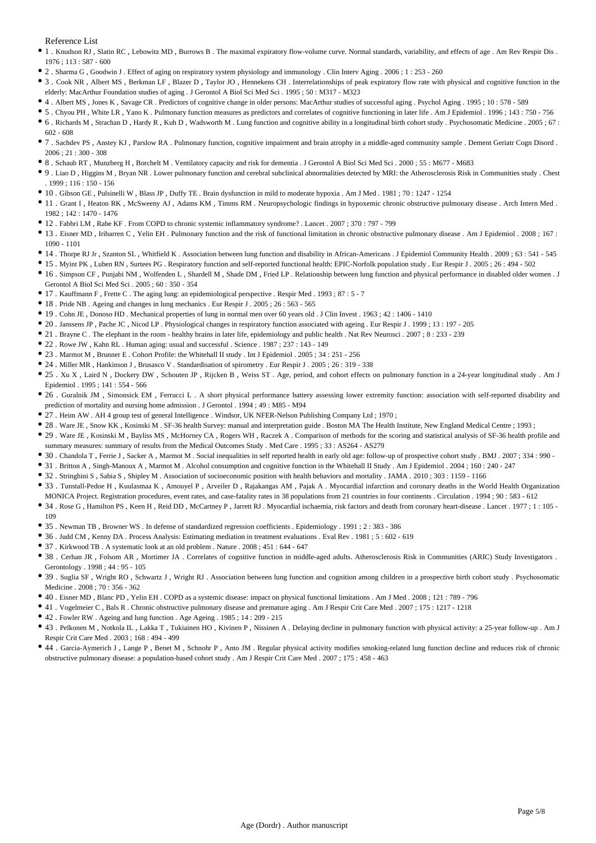Reference List

- 1 . Knudson RJ , Slatin RC , Lebowitz MD , Burrows B . The maximal expiratory flow-volume curve. Normal standards, variability, and effects of age . Am Rev Respir Dis . 1976 ; 113 : 587 - 600
- 2 . Sharma G , Goodwin J . Effect of aging on respiratory system physiology and immunology . Clin Interv Aging . 2006 ; 1 : 253 260
- 3 . Cook NR , Albert MS , Berkman LF , Blazer D , Taylor JO , Hennekens CH . Interrelationships of peak expiratory flow rate with physical and cognitive function in the elderly: MacArthur Foundation studies of aging . J Gerontol A Biol Sci Med Sci . 1995 ; 50 : M317 - M323
- 4 . Albert MS , Jones K , Savage CR . Predictors of cognitive change in older persons: MacArthur studies of successful aging . Psychol Aging . 1995 ; 10 : 578 589
- 5 . Chyou PH , White LR , Yano K . Pulmonary function measures as predictors and correlates of cognitive functioning in later life . Am J Epidemiol . 1996 ; 143 : 750 756
- 6 . Richards M , Strachan D , Hardy R , Kuh D , Wadsworth M . Lung function and cognitive ability in a longitudinal birth cohort study . Psychosomatic Medicine . 2005 ; 67 : 602 - 608
- 7 . Sachdev PS , Anstey KJ , Parslow RA . Pulmonary function, cognitive impairment and brain atrophy in a middle-aged community sample . Dement Geriatr Cogn Disord .  $2006 \cdot 21 \cdot 300 = 308$
- 8 . Schaub RT , Munzberg H , Borchelt M . Ventilatory capacity and risk for dementia . J Gerontol A Biol Sci Med Sci . 2000 ; 55 : M677 M683
- 9 . Liao D , Higgins M , Bryan NR . Lower pulmonary function and cerebral subclinical abnormalities detected by MRI: the Atherosclerosis Risk in Communities study . Chest  $1999 \cdot 116 \cdot 150 - 156$
- 10 . Gibson GE , Pulsinelli W , Blass JP , Duffy TE . Brain dysfunction in mild to moderate hypoxia . Am J Med . 1981 ; 70 : 1247 1254
- 11 . Grant I , Heaton RK , McSweeny AJ , Adams KM , Timms RM . Neuropsychologic findings in hypoxemic chronic obstructive pulmonary disease . Arch Intern Med . 1982 ; 142 : 1470 - 1476
- 12 . Fabbri LM , Rabe KF . From COPD to chronic systemic inflammatory syndrome? . Lancet . 2007 ; 370 : 797 799
- 13 . Eisner MD , Iribarren C , Yelin EH . Pulmonary function and the risk of functional limitation in chronic obstructive pulmonary disease . Am J Epidemiol . 2008 ; 167 : 1090 - 1101
- 14 . Thorpe RJ Jr , Szanton SL , Whitfield K . Association between lung function and disability in African-Americans . J Epidemiol Community Health . 2009 ; 63 : 541 545
- 15 . Myint PK , Luben RN , Surtees PG . Respiratory function and self-reported functional health: EPIC-Norfolk population study . Eur Respir J . 2005 ; 26 : 494 502
- 16 . Simpson CF , Punjabi NM , Wolfenden L , Shardell M , Shade DM , Fried LP . Relationship between lung function and physical performance in disabled older women . J Gerontol A Biol Sci Med Sci . 2005 ; 60 : 350 - 354
- 17 . Kauffmann F , Frette C . The aging lung: an epidemiological perspective . Respir Med . 1993 ; 87 : 5 7
- 18 . Pride NB . Ageing and changes in lung mechanics . Eur Respir J . 2005 ; 26 : 563 565
- 19 . Cohn JE , Donoso HD . Mechanical properties of lung in normal men over 60 years old . J Clin Invest . 1963 ; 42 : 1406 1410
- 20 . Janssens JP , Pache JC , Nicod LP . Physiological changes in respiratory function associated with ageing . Eur Respir J . 1999 ; 13 : 197 205
- 21 . Brayne C . The elephant in the room healthy brains in later life, epidemiology and public health . Nat Rev Neurosci . 2007 ; 8 : 233 239
- 22 . Rowe JW , Kahn RL . Human aging: usual and successful . Science . 1987 ; 237 : 143 149
- 23 . Marmot M , Brunner E . Cohort Profile: the Whitehall II study . Int J Epidemiol . 2005 ; 34 : 251 256
- 24 . Miller MR , Hankinson J , Brusasco V . Standardisation of spirometry . Eur Respir J . 2005 ; 26 : 319 338
- 25 . Xu X , Laird N , Dockery DW , Schouten JP , Rijcken B , Weiss ST . Age, period, and cohort effects on pulmonary function in a 24-year longitudinal study . Am J Epidemiol . 1995 ; 141 : 554 - 566
- 26 . Guralnik JM , Simonsick EM , Ferrucci L . A short physical performance battery assessing lower extremity function: association with self-reported disability and prediction of mortality and nursing home admission . J Gerontol . 1994 ; 49 : M85 - M94
- 27 . Heim AW . AH 4 group test of general Intelligence . Windsor, UK NFER-Nelson Publishing Company Ltd ; 1970 ;
- 28 . Ware JE , Snow KK , Kosinski M . SF-36 health Survey: manual and interpretation guide . Boston MA The Health Institute, New England Medical Centre ; 1993 ;
- 29 . Ware JE , Kosinski M , Bayliss MS , McHorney CA , Rogers WH , Raczek A . Comparison of methods for the scoring and statistical analysis of SF-36 health profile and summary measures: summary of results from the Medical Outcomes Study . Med Care . 1995 ; 33 : AS264 - AS279
- 30 . Chandola T , Ferrie J , Sacker A , Marmot M . Social inequalities in self reported health in early old age: follow-up of prospective cohort study . BMJ . 2007 ; 334 : 990 -
- 31 . Britton A , Singh-Manoux A , Marmot M . Alcohol consumption and cognitive function in the Whitehall II Study . Am J Epidemiol . 2004 ; 160 : 240 247
- 32 . Stringhini S , Sabia S , Shipley M . Association of socioeconomic position with health behaviors and mortality . JAMA . 2010 ; 303 : 1159 1166
- 33 . Tunstall-Pedoe H, Kuulasmaa K, Amouyel P, Arveiler D, Rajakangas AM, Pajak A. Myocardial infarction and coronary deaths in the World Health Organization MONICA Project. Registration procedures, event rates, and case-fatality rates in 38 populations from 21 countries in four continents . Circulation . 1994 ; 90 : 583 - 612
- 34 . Rose G , Hamilton PS , Keen H , Reid DD , McCartney P , Jarrett RJ . Myocardial ischaemia, risk factors and death from coronary heart-disease . Lancet . 1977 ; 1 : 105 109
- 35 . Newman TB , Browner WS . In defense of standardized regression coefficients . Epidemiology . 1991 ; 2 : 383 386
- 36 . Judd CM , Kenny DA . Process Analysis: Estimating mediation in treatment evaluations . Eval Rev . 1981 ; 5 : 602 619
- 37 . Kirkwood TB . A systematic look at an old problem . Nature . 2008 ; 451 : 644 647
- 38 . Cerhan JR , Folsom AR , Mortimer JA . Correlates of cognitive function in middle-aged adults. Atherosclerosis Risk in Communities (ARIC) Study Investigators . Gerontology . 1998 ; 44 : 95 - 105
- 39 . Suglia SF , Wright RO , Schwartz J , Wright RJ . Association between lung function and cognition among children in a prospective birth cohort study . Psychosomatic Medicine . 2008 ; 70 : 356 - 362
- 40 . Eisner MD , Blanc PD , Yelin EH . COPD as a systemic disease: impact on physical functional limitations . Am J Med . 2008 ; 121 : 789 796
- 41 . Vogelmeier C , Bals R . Chronic obstructive pulmonary disease and premature aging . Am J Respir Crit Care Med . 2007 ; 175 : 1217 1218
- 42 . Fowler RW . Ageing and lung function . Age Ageing . 1985 ; 14 : 209 215
- 43 . Pelkonen M , Notkola IL , Lakka T , Tukiainen HO , Kivinen P , Nissinen A . Delaying decline in pulmonary function with physical activity: a 25-year follow-up . Am J Respir Crit Care Med . 2003 ; 168 : 494 - 499
- 44 . Garcia-Aymerich J , Lange P , Benet M , Schnohr P , Anto JM . Regular physical activity modifies smoking-related lung function decline and reduces risk of chronic obstructive pulmonary disease: a population-based cohort study . Am J Respir Crit Care Med . 2007 ; 175 : 458 - 463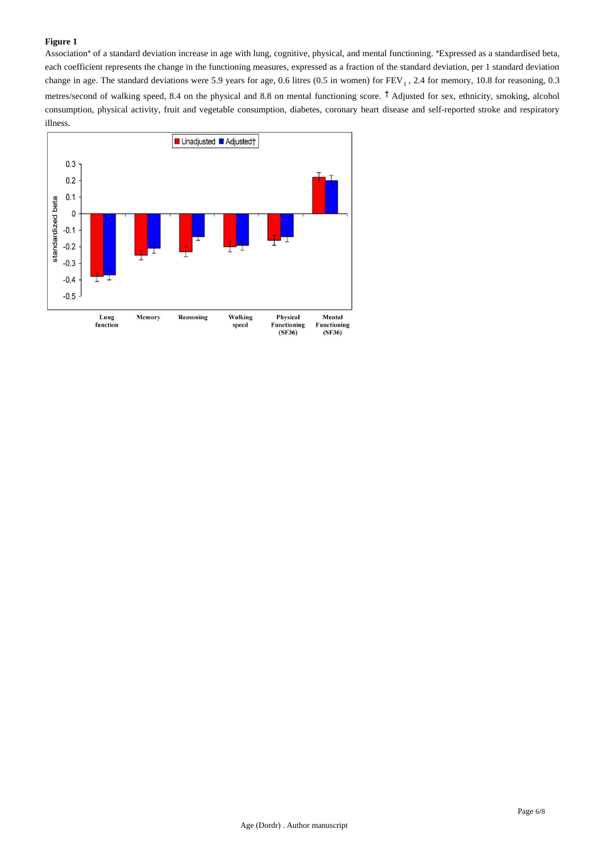#### **Figure 1**

Association\* of a standard deviation increase in age with lung, cognitive, physical, and mental functioning. \*Expressed as a standardised beta, each coefficient represents the change in the functioning measures, expressed as a fraction of the standard deviation, per 1 standard deviation change in age. The standard deviations were 5.9 years for age, 0.6 litres (0.5 in women) for  $FEV<sub>1</sub>$ , 2.4 for memory, 10.8 for reasoning, 0.3 metres/second of walking speed, 8.4 on the physical and 8.8 on mental functioning score. <sup>†</sup> Adjusted for sex, ethnicity, smoking, alcohol consumption, physical activity, fruit and vegetable consumption, diabetes, coronary heart disease and self-reported stroke and respiratory illness.

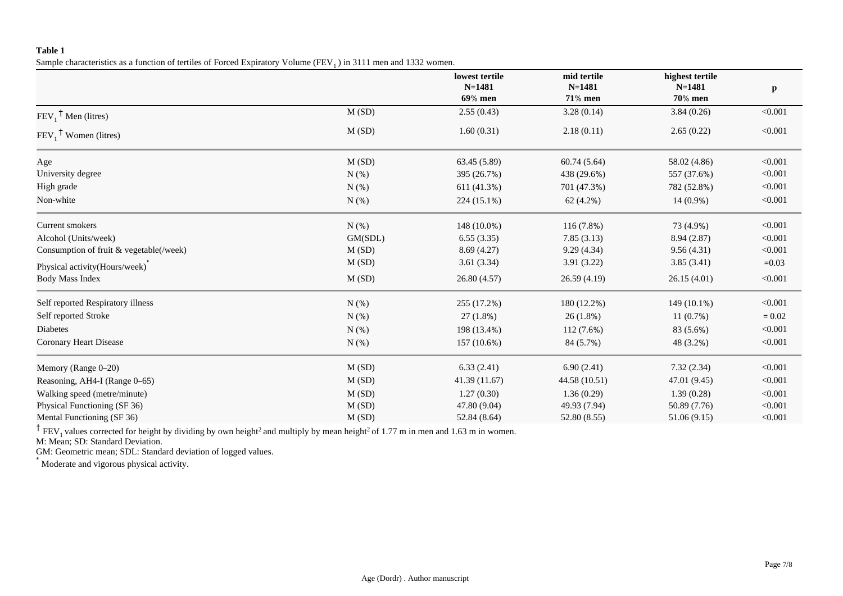## **Table 1**

Sample characteristics as a function of tertiles of Forced Expiratory Volume ( $FEV<sub>1</sub>$ ) in 3111 men and 1332 women.

|                                         |            | lowest tertile<br>$N = 1481$ | mid tertile<br>$N = 1481$ | highest tertile<br>$N = 1481$ | $\mathbf{p}$ |
|-----------------------------------------|------------|------------------------------|---------------------------|-------------------------------|--------------|
|                                         |            | 69% men                      | <b>71% men</b>            | <b>70% men</b>                |              |
| $FEV_1$ <sup>†</sup> Men (litres)       | M(SD)      | 2.55(0.43)                   | 3.28(0.14)                | 3.84(0.26)                    | < 0.001      |
| $FEV_1$ <sup>T</sup> Women (litres)     | M(SD)      | 1.60(0.31)                   | 2.18(0.11)                | 2.65(0.22)                    | < 0.001      |
| Age                                     | M(SD)      | 63.45 (5.89)                 | 60.74(5.64)               | 58.02 (4.86)                  | < 0.001      |
| University degree                       | $N$ $(\%)$ | 395 (26.7%)                  | 438 (29.6%)               | 557 (37.6%)                   | < 0.001      |
| High grade                              | $N$ (%)    | 611 (41.3%)                  | 701 (47.3%)               | 782 (52.8%)                   | < 0.001      |
| Non-white                               | $N$ (%)    | 224 (15.1%)                  | 62 (4.2%)                 | 14 (0.9%)                     | < 0.001      |
| Current smokers                         | $N$ (%)    | 148 (10.0%)                  | $116(7.8\%)$              | 73 (4.9%)                     | < 0.001      |
| Alcohol (Units/week)                    | GM(SDL)    | 6.55(3.35)                   | 7.85(3.13)                | 8.94 (2.87)                   | < 0.001      |
| Consumption of fruit & vegetable(/week) | M(SD)      | 8.69(4.27)                   | 9.29(4.34)                | 9.56(4.31)                    | < 0.001      |
| Physical activity(Hours/week)           | M(SD)      | 3.61(3.34)                   | 3.91(3.22)                | 3.85(3.41)                    | $=0.03$      |
| <b>Body Mass Index</b>                  | M(SD)      | 26.80(4.57)                  | 26.59(4.19)               | 26.15(4.01)                   | < 0.001      |
| Self reported Respiratory illness       | $N$ (%)    | 255 (17.2%)                  | 180 (12.2%)               | 149 (10.1%)                   | < 0.001      |
| Self reported Stroke                    | $N$ (%)    | $27(1.8\%)$                  | 26(1.8%)                  | 11(0.7%)                      | $= 0.02$     |
| <b>Diabetes</b>                         | $N$ (%)    | 198 (13.4%)                  | $112(7.6\%)$              | 83 (5.6%)                     | < 0.001      |
| Coronary Heart Disease                  | $N$ (%)    | 157 (10.6%)                  | 84 (5.7%)                 | 48 (3.2%)                     | < 0.001      |
| Memory (Range 0-20)                     | M(SD)      | 6.33(2.41)                   | 6.90(2.41)                | 7.32(2.34)                    | < 0.001      |
| Reasoning, AH4-I (Range 0-65)           | M(SD)      | 41.39(11.67)                 | 44.58 (10.51)             | 47.01 (9.45)                  | < 0.001      |
| Walking speed (metre/minute)            | M(SD)      | 1.27(0.30)                   | 1.36(0.29)                | 1.39(0.28)                    | < 0.001      |
| Physical Functioning (SF 36)            | M(SD)      | 47.80 (9.04)                 | 49.93 (7.94)              | 50.89 (7.76)                  | < 0.001      |
| Mental Functioning (SF 36)              | M(SD)      | 52.84 (8.64)                 | 52.80 (8.55)              | 51.06 (9.15)                  | < 0.001      |

<sup>†</sup> FEV<sub>1</sub> values corrected for height by dividing by own height<sup>2</sup> and multiply by mean height<sup>2</sup> of 1.77 m in men and 1.63 m in women.

M: Mean; SD: Standard Deviation.

GM: Geometric mean; SDL: Standard deviation of logged values.

\* Moderate and vigorous physical activity.